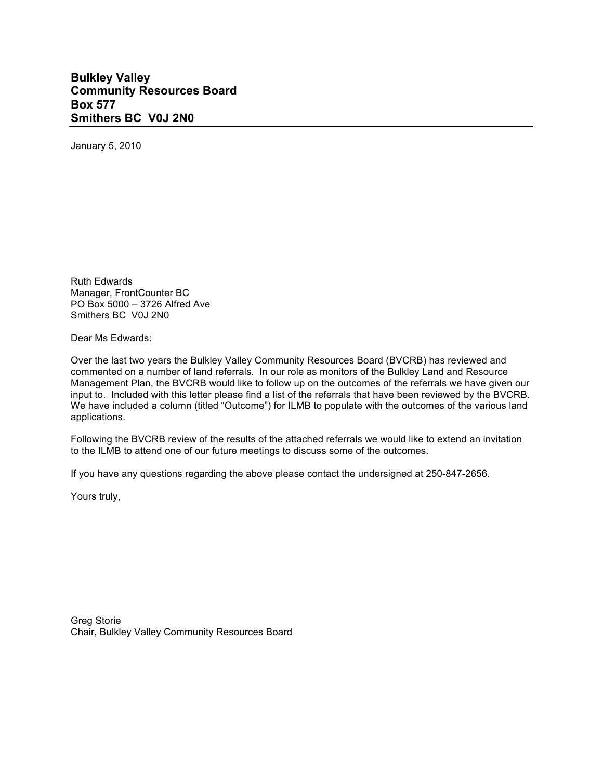## **Bulkley Valley Community Resources Board Box 577 Smithers BC V0J 2N0**

January 5, 2010

Ruth Edwards Manager, FrontCounter BC PO Box 5000 – 3726 Alfred Ave Smithers BC V0J 2N0

Dear Ms Edwards:

Over the last two years the Bulkley Valley Community Resources Board (BVCRB) has reviewed and commented on a number of land referrals. In our role as monitors of the Bulkley Land and Resource Management Plan, the BVCRB would like to follow up on the outcomes of the referrals we have given our input to. Included with this letter please find a list of the referrals that have been reviewed by the BVCRB. We have included a column (titled "Outcome") for ILMB to populate with the outcomes of the various land applications.

Following the BVCRB review of the results of the attached referrals we would like to extend an invitation to the ILMB to attend one of our future meetings to discuss some of the outcomes.

If you have any questions regarding the above please contact the undersigned at 250-847-2656.

Yours truly,

Greg Storie Chair, Bulkley Valley Community Resources Board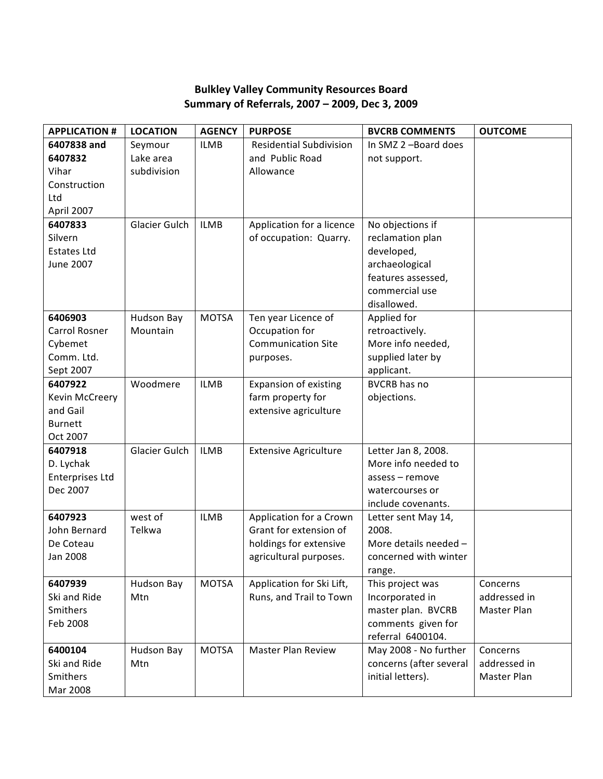## **Bulkley Valley Community Resources Board Summary of Referrals, 2007 – 2009, Dec 3, 2009**

| <b>APPLICATION #</b>   | <b>LOCATION</b> | <b>AGENCY</b> | <b>PURPOSE</b>                 | <b>BVCRB COMMENTS</b>   | <b>OUTCOME</b> |
|------------------------|-----------------|---------------|--------------------------------|-------------------------|----------------|
| 6407838 and            | Seymour         | <b>ILMB</b>   | <b>Residential Subdivision</b> | In SMZ 2-Board does     |                |
| 6407832                | Lake area       |               | and Public Road                | not support.            |                |
| Vihar                  | subdivision     |               | Allowance                      |                         |                |
| Construction           |                 |               |                                |                         |                |
| Ltd                    |                 |               |                                |                         |                |
| April 2007             |                 |               |                                |                         |                |
| 6407833                | Glacier Gulch   | <b>ILMB</b>   | Application for a licence      | No objections if        |                |
| Silvern                |                 |               | of occupation: Quarry.         | reclamation plan        |                |
| <b>Estates Ltd</b>     |                 |               |                                | developed,              |                |
| June 2007              |                 |               |                                | archaeological          |                |
|                        |                 |               |                                | features assessed,      |                |
|                        |                 |               |                                | commercial use          |                |
|                        |                 |               |                                | disallowed.             |                |
| 6406903                | Hudson Bay      | <b>MOTSA</b>  | Ten year Licence of            | Applied for             |                |
| Carrol Rosner          | Mountain        |               | Occupation for                 | retroactively.          |                |
| Cybemet                |                 |               | <b>Communication Site</b>      | More info needed,       |                |
| Comm. Ltd.             |                 |               | purposes.                      | supplied later by       |                |
| Sept 2007              |                 |               |                                | applicant.              |                |
| 6407922                | Woodmere        | <b>ILMB</b>   | <b>Expansion of existing</b>   | <b>BVCRB</b> has no     |                |
| Kevin McCreery         |                 |               | farm property for              | objections.             |                |
| and Gail               |                 |               | extensive agriculture          |                         |                |
| <b>Burnett</b>         |                 |               |                                |                         |                |
| Oct 2007               |                 |               |                                |                         |                |
| 6407918                | Glacier Gulch   | <b>ILMB</b>   | <b>Extensive Agriculture</b>   | Letter Jan 8, 2008.     |                |
| D. Lychak              |                 |               |                                | More info needed to     |                |
| <b>Enterprises Ltd</b> |                 |               |                                | assess - remove         |                |
| Dec 2007               |                 |               |                                | watercourses or         |                |
|                        |                 |               |                                | include covenants.      |                |
| 6407923                | west of         | <b>ILMB</b>   | Application for a Crown        | Letter sent May 14,     |                |
| John Bernard           | Telkwa          |               | Grant for extension of         | 2008.                   |                |
| De Coteau              |                 |               | holdings for extensive         | More details needed -   |                |
| Jan 2008               |                 |               | agricultural purposes.         | concerned with winter   |                |
|                        |                 |               |                                | range.                  |                |
| 6407939                | Hudson Bay      | <b>MOTSA</b>  | Application for Ski Lift,      | This project was        | Concerns       |
| Ski and Ride           | Mtn             |               | Runs, and Trail to Town        | Incorporated in         | addressed in   |
| Smithers               |                 |               |                                | master plan. BVCRB      | Master Plan    |
| Feb 2008               |                 |               |                                | comments given for      |                |
|                        |                 |               |                                | referral 6400104.       |                |
| 6400104                | Hudson Bay      | <b>MOTSA</b>  | <b>Master Plan Review</b>      | May 2008 - No further   | Concerns       |
| Ski and Ride           | Mtn             |               |                                | concerns (after several | addressed in   |
| Smithers               |                 |               |                                | initial letters).       | Master Plan    |
| Mar 2008               |                 |               |                                |                         |                |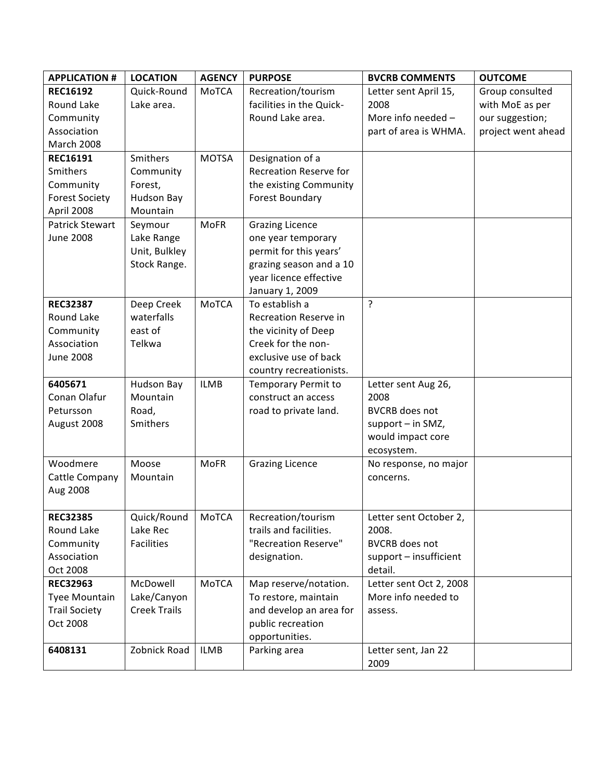| <b>APPLICATION #</b>  | <b>LOCATION</b>     | <b>AGENCY</b> | <b>PURPOSE</b>                | <b>BVCRB COMMENTS</b>   | <b>OUTCOME</b>     |
|-----------------------|---------------------|---------------|-------------------------------|-------------------------|--------------------|
| <b>REC16192</b>       | Quick-Round         | MoTCA         | Recreation/tourism            | Letter sent April 15,   | Group consulted    |
| Round Lake            | Lake area.          |               | facilities in the Quick-      | 2008                    | with MoE as per    |
| Community             |                     |               | Round Lake area.              | More info needed -      | our suggestion;    |
| Association           |                     |               |                               | part of area is WHMA.   | project went ahead |
| March 2008            |                     |               |                               |                         |                    |
| <b>REC16191</b>       | Smithers            | <b>MOTSA</b>  | Designation of a              |                         |                    |
| <b>Smithers</b>       | Community           |               | <b>Recreation Reserve for</b> |                         |                    |
| Community             | Forest,             |               | the existing Community        |                         |                    |
| <b>Forest Society</b> | <b>Hudson Bay</b>   |               | Forest Boundary               |                         |                    |
| April 2008            | Mountain            |               |                               |                         |                    |
| Patrick Stewart       | Seymour             | <b>MoFR</b>   | <b>Grazing Licence</b>        |                         |                    |
| <b>June 2008</b>      | Lake Range          |               | one year temporary            |                         |                    |
|                       | Unit, Bulkley       |               | permit for this years'        |                         |                    |
|                       | Stock Range.        |               | grazing season and a 10       |                         |                    |
|                       |                     |               | year licence effective        |                         |                    |
|                       |                     |               | January 1, 2009               |                         |                    |
| <b>REC32387</b>       | Deep Creek          | MoTCA         | To establish a                | ?                       |                    |
| Round Lake            | waterfalls          |               | Recreation Reserve in         |                         |                    |
| Community             | east of             |               | the vicinity of Deep          |                         |                    |
| Association           | Telkwa              |               | Creek for the non-            |                         |                    |
| <b>June 2008</b>      |                     |               | exclusive use of back         |                         |                    |
|                       |                     |               | country recreationists.       |                         |                    |
| 6405671               | Hudson Bay          | <b>ILMB</b>   | <b>Temporary Permit to</b>    | Letter sent Aug 26,     |                    |
| Conan Olafur          | Mountain            |               | construct an access           | 2008                    |                    |
| Petursson             | Road,               |               | road to private land.         | <b>BVCRB</b> does not   |                    |
| August 2008           | Smithers            |               |                               | support - in SMZ,       |                    |
|                       |                     |               |                               | would impact core       |                    |
|                       |                     |               |                               | ecosystem.              |                    |
| Woodmere              | Moose               | <b>MoFR</b>   | <b>Grazing Licence</b>        | No response, no major   |                    |
| Cattle Company        | Mountain            |               |                               | concerns.               |                    |
| Aug 2008              |                     |               |                               |                         |                    |
|                       |                     |               |                               |                         |                    |
| <b>REC32385</b>       | Quick/Round         | MoTCA         | Recreation/tourism            | Letter sent October 2,  |                    |
| Round Lake            | Lake Rec            |               | trails and facilities.        | 2008.                   |                    |
| Community             | Facilities          |               | "Recreation Reserve"          | <b>BVCRB</b> does not   |                    |
| Association           |                     |               | designation.                  | support - insufficient  |                    |
| Oct 2008              |                     |               |                               | detail.                 |                    |
| <b>REC32963</b>       | McDowell            | MoTCA         | Map reserve/notation.         | Letter sent Oct 2, 2008 |                    |
| Tyee Mountain         | Lake/Canyon         |               | To restore, maintain          | More info needed to     |                    |
| <b>Trail Society</b>  | <b>Creek Trails</b> |               | and develop an area for       | assess.                 |                    |
| Oct 2008              |                     |               | public recreation             |                         |                    |
|                       |                     |               | opportunities.                |                         |                    |
| 6408131               | Zobnick Road        | <b>ILMB</b>   | Parking area                  | Letter sent, Jan 22     |                    |
|                       |                     |               |                               | 2009                    |                    |